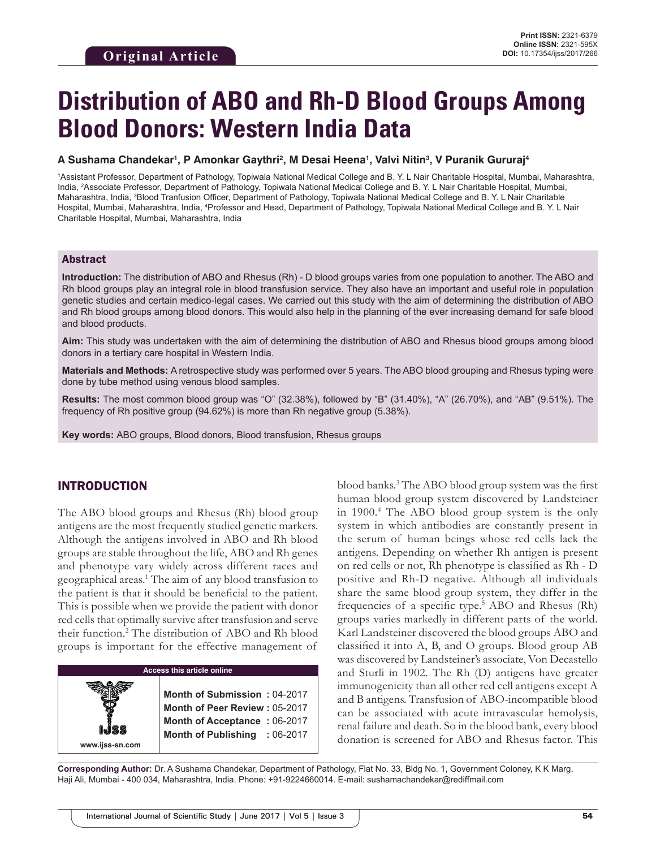# **Distribution of ABO and Rh-D Blood Groups Among Blood Donors: Western India Data**

#### **A Sushama Chandekar1 , P Amonkar Gaythri2 , M Desai Heena1 , Valvi Nitin3 , V Puranik Gururaj4**

1 Assistant Professor, Department of Pathology, Topiwala National Medical College and B. Y. L Nair Charitable Hospital, Mumbai, Maharashtra, India, 2 Associate Professor, Department of Pathology, Topiwala National Medical College and B. Y. L Nair Charitable Hospital, Mumbai, Maharashtra, India, 3 Blood Tranfusion Officer, Department of Pathology, Topiwala National Medical College and B. Y. L Nair Charitable Hospital, Mumbai, Maharashtra, India, <sup>4</sup>Professor and Head, Department of Pathology, Topiwala National Medical College and B. Y. L Nair Charitable Hospital, Mumbai, Maharashtra, India

#### Abstract

**Introduction:** The distribution of ABO and Rhesus (Rh) - D blood groups varies from one population to another. The ABO and Rh blood groups play an integral role in blood transfusion service. They also have an important and useful role in population genetic studies and certain medico-legal cases. We carried out this study with the aim of determining the distribution of ABO and Rh blood groups among blood donors. This would also help in the planning of the ever increasing demand for safe blood and blood products.

**Aim:** This study was undertaken with the aim of determining the distribution of ABO and Rhesus blood groups among blood donors in a tertiary care hospital in Western India.

**Materials and Methods:** A retrospective study was performed over 5 years. The ABO blood grouping and Rhesus typing were done by tube method using venous blood samples.

**Results:** The most common blood group was "O" (32.38%), followed by "B" (31.40%), "A" (26.70%), and "AB" (9.51%). The frequency of Rh positive group (94.62%) is more than Rh negative group (5.38%).

**Key words:** ABO groups, Blood donors, Blood transfusion, Rhesus groups

### INTRODUCTION

**www.ijss-sn.com**

The ABO blood groups and Rhesus (Rh) blood group antigens are the most frequently studied genetic markers. Although the antigens involved in ABO and Rh blood groups are stable throughout the life, ABO and Rh genes and phenotype vary widely across different races and geographical areas.1 The aim of any blood transfusion to the patient is that it should be beneficial to the patient. This is possible when we provide the patient with donor red cells that optimally survive after transfusion and serve their function.2 The distribution of ABO and Rh blood groups is important for the effective management of

### **Access this article online**

**Month of Submission :** 04-2017 **Month of Peer Review :** 05-2017 **Month of Acceptance :** 06-2017 **Month of Publishing :** 06-2017

blood banks.3 The ABO blood group system was the first human blood group system discovered by Landsteiner in 1900.4 The ABO blood group system is the only system in which antibodies are constantly present in the serum of human beings whose red cells lack the antigens. Depending on whether Rh antigen is present on red cells or not, Rh phenotype is classified as Rh - D positive and Rh-D negative. Although all individuals share the same blood group system, they differ in the frequencies of a specific type.<sup>5</sup> ABO and Rhesus (Rh) groups varies markedly in different parts of the world. Karl Landsteiner discovered the blood groups ABO and classified it into A, B, and O groups. Blood group AB was discovered by Landsteiner's associate, Von Decastello and Sturli in 1902. The Rh (D) antigens have greater immunogenicity than all other red cell antigens except A and B antigens. Transfusion of ABO-incompatible blood can be associated with acute intravascular hemolysis, renal failure and death. So in the blood bank, every blood donation is screened for ABO and Rhesus factor. This

**Corresponding Author:** Dr. A Sushama Chandekar, Department of Pathology, Flat No. 33, Bldg No. 1, Government Coloney, K K Marg, Haji Ali, Mumbai - 400 034, Maharashtra, India. Phone: +91-9224660014. E-mail: sushamachandekar@rediffmail.com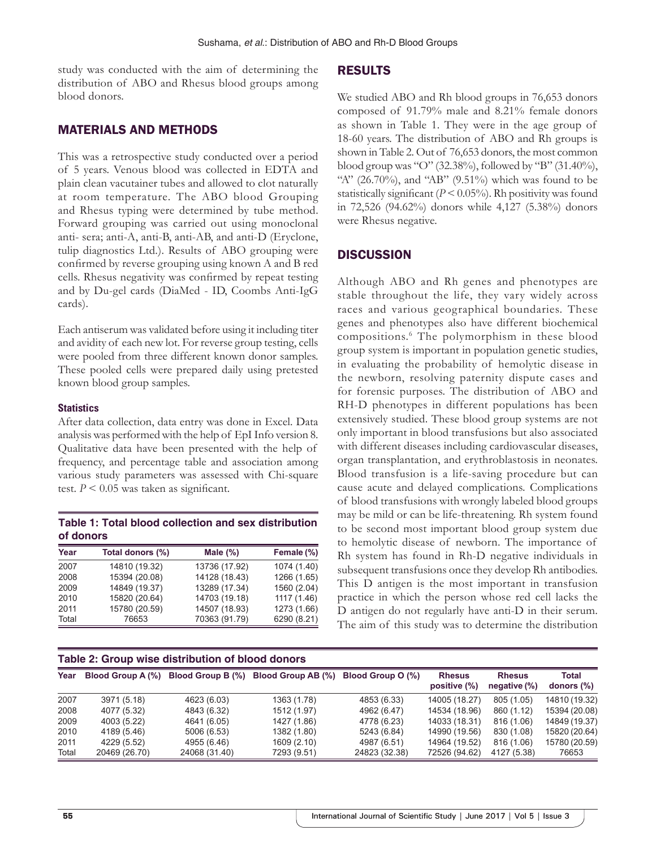study was conducted with the aim of determining the distribution of ABO and Rhesus blood groups among blood donors.

## MATERIALS AND METHODS

This was a retrospective study conducted over a period of 5 years. Venous blood was collected in EDTA and plain clean vacutainer tubes and allowed to clot naturally at room temperature. The ABO blood Grouping and Rhesus typing were determined by tube method. Forward grouping was carried out using monoclonal anti- sera; anti-A, anti-B, anti-AB, and anti-D (Eryclone, tulip diagnostics Ltd.). Results of ABO grouping were confirmed by reverse grouping using known A and B red cells. Rhesus negativity was confirmed by repeat testing and by Du-gel cards (DiaMed - ID, Coombs Anti-IgG cards).

Each antiserum was validated before using it including titer and avidity of each new lot. For reverse group testing, cells were pooled from three different known donor samples. These pooled cells were prepared daily using pretested known blood group samples.

#### **Statistics**

After data collection, data entry was done in Excel. Data analysis was performed with the help of EpI Info version 8. Qualitative data have been presented with the help of frequency, and percentage table and association among various study parameters was assessed with Chi-square test.  $P \leq 0.05$  was taken as significant.

| Table 1: Total blood collection and sex distribution |
|------------------------------------------------------|
| of donors                                            |

| Year  | Total donors (%) | Male $(\%)$   | Female (%)  |
|-------|------------------|---------------|-------------|
| 2007  | 14810 (19.32)    | 13736 (17.92) | 1074 (1.40) |
| 2008  | 15394 (20.08)    | 14128 (18.43) | 1266 (1.65) |
| 2009  | 14849 (19.37)    | 13289 (17.34) | 1560 (2.04) |
| 2010  | 15820 (20.64)    | 14703 (19.18) | 1117 (1.46) |
| 2011  | 15780 (20.59)    | 14507 (18.93) | 1273 (1.66) |
| Total | 76653            | 70363 (91.79) | 6290 (8.21) |

### **Table 2: Group wise distribution of blood donors**

#### RESULTS

We studied ABO and Rh blood groups in 76,653 donors composed of 91.79% male and 8.21% female donors as shown in Table 1. They were in the age group of 18-60 years. The distribution of ABO and Rh groups is shown in Table 2. Out of 76,653 donors, the most common blood group was "O" (32.38%), followed by "B" (31.40%), "A" (26.70%), and "AB" (9.51%) which was found to be statistically significant  $(P < 0.05\%)$ . Rh positivity was found in 72,526 (94.62%) donors while 4,127 (5.38%) donors were Rhesus negative.

## **DISCUSSION**

Although ABO and Rh genes and phenotypes are stable throughout the life, they vary widely across races and various geographical boundaries. These genes and phenotypes also have different biochemical compositions.6 The polymorphism in these blood group system is important in population genetic studies, in evaluating the probability of hemolytic disease in the newborn, resolving paternity dispute cases and for forensic purposes. The distribution of ABO and RH-D phenotypes in different populations has been extensively studied. These blood group systems are not only important in blood transfusions but also associated with different diseases including cardiovascular diseases, organ transplantation, and erythroblastosis in neonates. Blood transfusion is a life-saving procedure but can cause acute and delayed complications. Complications of blood transfusions with wrongly labeled blood groups may be mild or can be life-threatening. Rh system found to be second most important blood group system due to hemolytic disease of newborn. The importance of Rh system has found in Rh-D negative individuals in subsequent transfusions once they develop Rh antibodies. This D antigen is the most important in transfusion practice in which the person whose red cell lacks the D antigen do not regularly have anti-D in their serum. The aim of this study was to determine the distribution

| $14000$ and an extra $1000$ views invested to be proved views to |                          |                   |                    |                   |                               |                                  |                            |  |  |  |
|------------------------------------------------------------------|--------------------------|-------------------|--------------------|-------------------|-------------------------------|----------------------------------|----------------------------|--|--|--|
| Year                                                             | <b>Blood Group A (%)</b> | Blood Group B (%) | Blood Group AB (%) | Blood Group O (%) | <b>Rhesus</b><br>positive (%) | <b>Rhesus</b><br>negative $(\%)$ | <b>Total</b><br>donors (%) |  |  |  |
| 2007                                                             | 3971 (5.18)              | 4623 (6.03)       | 1363 (1.78)        | 4853 (6.33)       | 14005 (18.27)                 | 805 (1.05)                       | 14810 (19.32)              |  |  |  |
| 2008                                                             | 4077 (5.32)              | 4843 (6.32)       | 1512 (1.97)        | 4962 (6.47)       | 14534 (18.96)                 | 860 (1.12)                       | 15394 (20.08)              |  |  |  |
| 2009                                                             | 4003 (5.22)              | 4641 (6.05)       | 1427 (1.86)        | 4778 (6.23)       | 14033 (18.31)                 | 816 (1.06)                       | 14849 (19.37)              |  |  |  |
| 2010                                                             | 4189 (5.46)              | 5006 (6.53)       | 1382 (1.80)        | 5243 (6.84)       | 14990 (19.56)                 | 830 (1.08)                       | 15820 (20.64)              |  |  |  |
| 2011                                                             | 4229 (5.52)              | 4955 (6.46)       | 1609 (2.10)        | 4987 (6.51)       | 14964 (19.52)                 | 816 (1.06)                       | 15780 (20.59)              |  |  |  |
| Total                                                            | 20469 (26.70)            | 24068 (31.40)     | 7293 (9.51)        | 24823 (32.38)     | 72526 (94.62)                 | 4127 (5.38)                      | 76653                      |  |  |  |